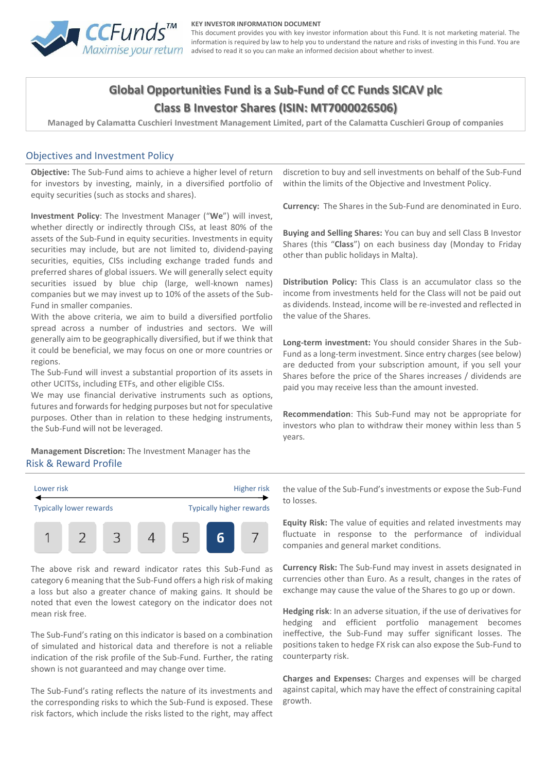

#### **KEY INVESTOR INFORMATION DOCUMENT**

This document provides you with key investor information about this Fund. It is not marketing material. The information is required by law to help you to understand the nature and risks of investing in this Fund. You are advised to read it so you can make an informed decision about whether to invest.

# **Global Opportunities Fund is a Sub-Fund of CC Funds SICAV plc Class B Investor Shares (ISIN: MT7000026506)**

**Managed by Calamatta Cuschieri Investment Management Limited, part of the Calamatta Cuschieri Group of companies**

### Objectives and Investment Policy

**Objective:** The Sub-Fund aims to achieve a higher level of return for investors by investing, mainly, in a diversified portfolio of equity securities (such as stocks and shares).

**Investment Policy**: The Investment Manager ("**We**") will invest, whether directly or indirectly through CISs, at least 80% of the assets of the Sub-Fund in equity securities. Investments in equity securities may include, but are not limited to, dividend-paying securities, equities, CISs including exchange traded funds and preferred shares of global issuers. We will generally select equity securities issued by blue chip (large, well-known names) companies but we may invest up to 10% of the assets of the Sub-Fund in smaller companies.

With the above criteria, we aim to build a diversified portfolio spread across a number of industries and sectors. We will generally aim to be geographically diversified, but if we think that it could be beneficial, we may focus on one or more countries or regions.

The Sub-Fund will invest a substantial proportion of its assets in other UCITSs, including ETFs, and other eligible CISs.

We may use financial derivative instruments such as options, futures and forwards for hedging purposes but not for speculative purposes. Other than in relation to these hedging instruments, the Sub-Fund will not be leveraged.

**Management Discretion:** The Investment Manager has the Risk & Reward Profile

Lower risk **Higher risk** Higher risk Typically lower rewards Typically higher rewards 1  $\mathcal{P}$ 3 4

The above risk and reward indicator rates this Sub-Fund as category 6 meaning that the Sub-Fund offers a high risk of making a loss but also a greater chance of making gains. It should be noted that even the lowest category on the indicator does not mean risk free.

The Sub-Fund's rating on this indicator is based on a combination of simulated and historical data and therefore is not a reliable indication of the risk profile of the Sub-Fund. Further, the rating shown is not guaranteed and may change over time.

The Sub-Fund's rating reflects the nature of its investments and the corresponding risks to which the Sub-Fund is exposed. These risk factors, which include the risks listed to the right, may affect

discretion to buy and sell investments on behalf of the Sub-Fund within the limits of the Objective and Investment Policy.

**Currency:** The Shares in the Sub-Fund are denominated in Euro.

**Buying and Selling Shares:** You can buy and sell Class B Investor Shares (this "**Class**") on each business day (Monday to Friday other than public holidays in Malta).

**Distribution Policy:** This Class is an accumulator class so the income from investments held for the Class will not be paid out as dividends. Instead, income will be re-invested and reflected in the value of the Shares.

**Long-term investment:** You should consider Shares in the Sub-Fund as a long-term investment. Since entry charges (see below) are deducted from your subscription amount, if you sell your Shares before the price of the Shares increases / dividends are paid you may receive less than the amount invested.

**Recommendation**: This Sub-Fund may not be appropriate for investors who plan to withdraw their money within less than 5 years.

the value of the Sub-Fund's investments or expose the Sub-Fund to losses.

**Equity Risk:** The value of equities and related investments may fluctuate in response to the performance of individual companies and general market conditions.

**Currency Risk:** The Sub-Fund may invest in assets designated in currencies other than Euro. As a result, changes in the rates of exchange may cause the value of the Shares to go up or down.

**Hedging risk**: In an adverse situation, if the use of derivatives for hedging and efficient portfolio management becomes ineffective, the Sub-Fund may suffer significant losses. The positions taken to hedge FX risk can also expose the Sub-Fund to counterparty risk.

**Charges and Expenses:** Charges and expenses will be charged against capital, which may have the effect of constraining capital growth.